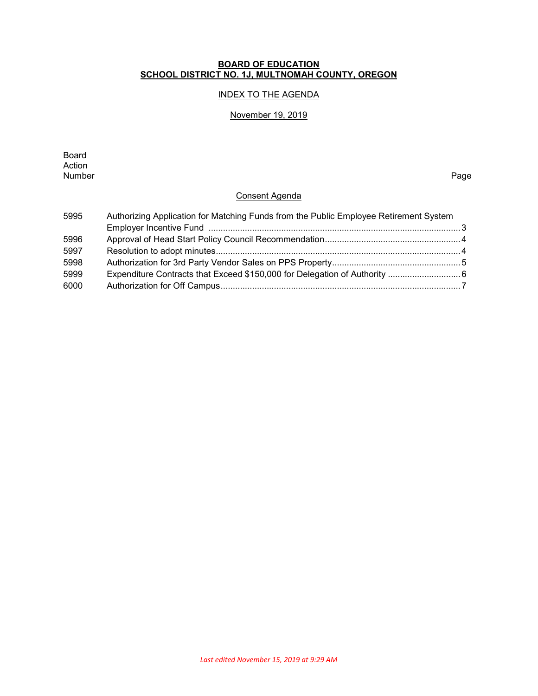### **BOARD OF EDUCATION SCHOOL DISTRICT NO. 1J, MULTNOMAH COUNTY, OREGON**

## INDEX TO THE AGENDA

#### November 19, 2019

Board Action<br>Number Number Page

## Consent Agenda

| 5995 | Authorizing Application for Matching Funds from the Public Employee Retirement System |  |
|------|---------------------------------------------------------------------------------------|--|
|      |                                                                                       |  |
| 5996 |                                                                                       |  |
| 5997 |                                                                                       |  |
| 5998 |                                                                                       |  |
| 5999 |                                                                                       |  |
| 6000 |                                                                                       |  |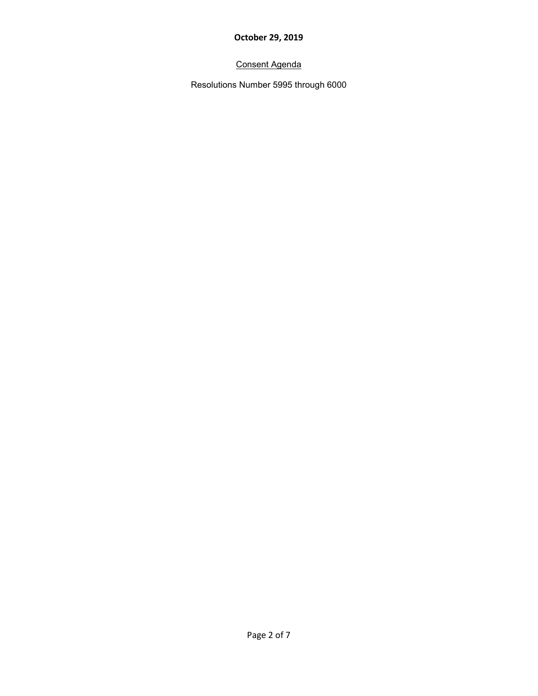# Consent Agenda

Resolutions Number 5995 through 6000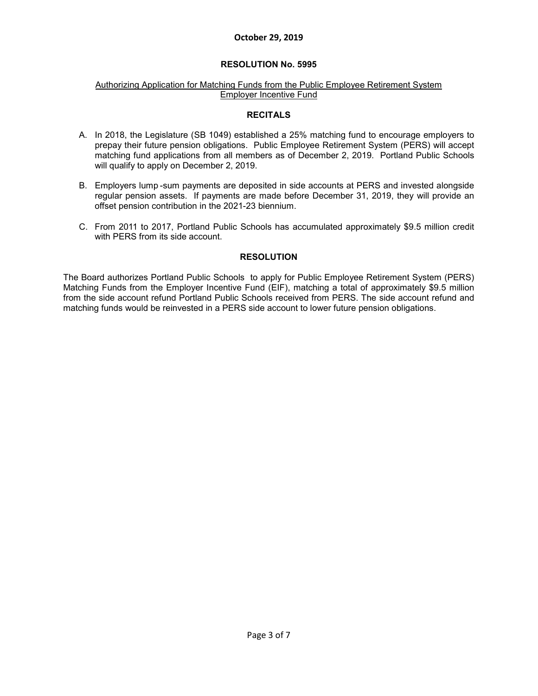#### **RESOLUTION No. 5995**

#### Authorizing Application for Matching Funds from the Public Employee Retirement System Employer Incentive Fund

#### **RECITALS**

- A. In 2018, the Legislature (SB 1049) established a 25% matching fund to encourage employers to prepay their future pension obligations. Public Employee Retirement System (PERS) will accept matching fund applications from all members as of December 2, 2019. Portland Public Schools will qualify to apply on December 2, 2019.
- B. Employers lump -sum payments are deposited in side accounts at PERS and invested alongside regular pension assets. If payments are made before December 31, 2019, they will provide an offset pension contribution in the 2021-23 biennium.
- C. From 2011 to 2017, Portland Public Schools has accumulated approximately \$9.5 million credit with PERS from its side account.

#### **RESOLUTION**

The Board authorizes Portland Public Schools to apply for Public Employee Retirement System (PERS) Matching Funds from the Employer Incentive Fund (EIF), matching a total of approximately \$9.5 million from the side account refund Portland Public Schools received from PERS. The side account refund and matching funds would be reinvested in a PERS side account to lower future pension obligations.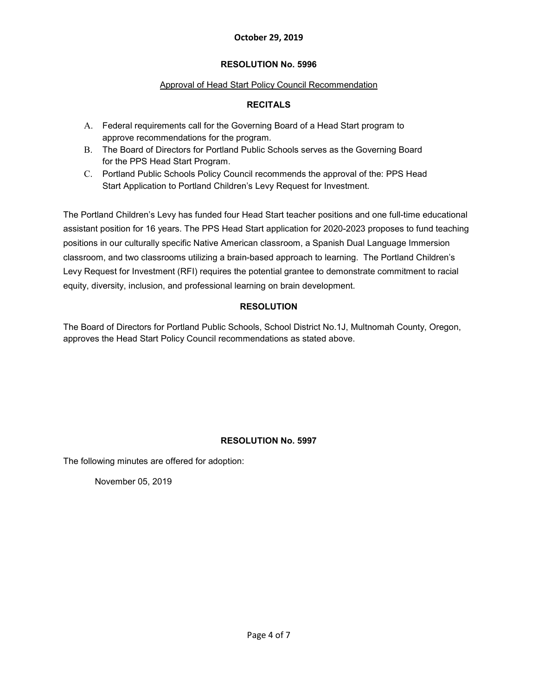## **RESOLUTION No. 5996**

## Approval of Head Start Policy Council Recommendation

## **RECITALS**

- A. Federal requirements call for the Governing Board of a Head Start program to approve recommendations for the program.
- B. The Board of Directors for Portland Public Schools serves as the Governing Board for the PPS Head Start Program.
- C. Portland Public Schools Policy Council recommends the approval of the: PPS Head Start Application to Portland Children's Levy Request for Investment.

The Portland Children's Levy has funded four Head Start teacher positions and one full-time educational assistant position for 16 years. The PPS Head Start application for 2020-2023 proposes to fund teaching positions in our culturally specific Native American classroom, a Spanish Dual Language Immersion classroom, and two classrooms utilizing a brain-based approach to learning. The Portland Children's Levy Request for Investment (RFI) requires the potential grantee to demonstrate commitment to racial equity, diversity, inclusion, and professional learning on brain development.

## **RESOLUTION**

The Board of Directors for Portland Public Schools, School District No.1J, Multnomah County, Oregon, approves the Head Start Policy Council recommendations as stated above.

## **RESOLUTION No. 5997**

The following minutes are offered for adoption:

November 05, 2019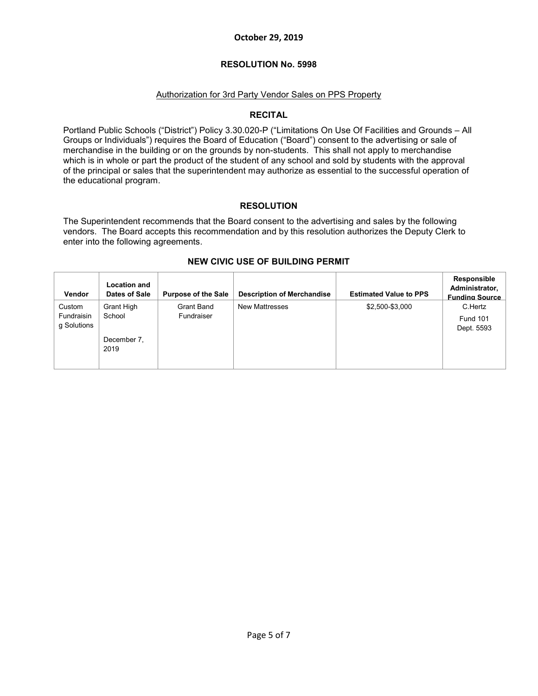### **RESOLUTION No. 5998**

### Authorization for 3rd Party Vendor Sales on PPS Property

### **RECITAL**

Portland Public Schools ("District") Policy 3.30.020-P ("Limitations On Use Of Facilities and Grounds – All Groups or Individuals") requires the Board of Education ("Board") consent to the advertising or sale of merchandise in the building or on the grounds by non-students. This shall not apply to merchandise which is in whole or part the product of the student of any school and sold by students with the approval of the principal or sales that the superintendent may authorize as essential to the successful operation of the educational program.

## **RESOLUTION**

The Superintendent recommends that the Board consent to the advertising and sales by the following vendors. The Board accepts this recommendation and by this resolution authorizes the Deputy Clerk to enter into the following agreements.

| <b>Vendor</b>                       | <b>Location and</b><br>Dates of Sale | <b>Purpose of the Sale</b> | <b>Description of Merchandise</b> | <b>Estimated Value to PPS</b> | Responsible<br>Administrator,<br><b>Funding Source</b> |
|-------------------------------------|--------------------------------------|----------------------------|-----------------------------------|-------------------------------|--------------------------------------------------------|
| Custom<br>Fundraisin<br>g Solutions | Grant High<br>School                 | Grant Band<br>Fundraiser   | <b>New Mattresses</b>             | \$2,500-\$3,000               | C.Hertz<br><b>Fund 101</b><br>Dept. 5593               |
|                                     | December 7.<br>2019                  |                            |                                   |                               |                                                        |

### **NEW CIVIC USE OF BUILDING PERMIT**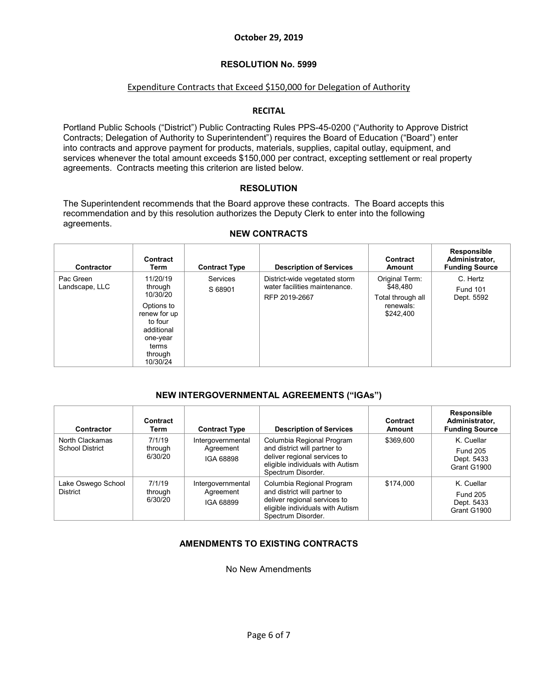#### **RESOLUTION No. 5999**

#### Expenditure Contracts that Exceed \$150,000 for Delegation of Authority

### **RECITAL**

Portland Public Schools ("District") Public Contracting Rules PPS-45-0200 ("Authority to Approve District Contracts; Delegation of Authority to Superintendent") requires the Board of Education ("Board") enter into contracts and approve payment for products, materials, supplies, capital outlay, equipment, and services whenever the total amount exceeds \$150,000 per contract, excepting settlement or real property agreements. Contracts meeting this criterion are listed below.

#### **RESOLUTION**

The Superintendent recommends that the Board approve these contracts. The Board accepts this recommendation and by this resolution authorizes the Deputy Clerk to enter into the following agreements.

| Contractor                  | Contract<br>Term                                                                                                                   | <b>Contract Type</b>       | <b>Description of Services</b>                                                  | Contract<br>Amount                                                        | Responsible<br>Administrator,<br><b>Funding Source</b> |
|-----------------------------|------------------------------------------------------------------------------------------------------------------------------------|----------------------------|---------------------------------------------------------------------------------|---------------------------------------------------------------------------|--------------------------------------------------------|
| Pac Green<br>Landscape, LLC | 11/20/19<br>through<br>10/30/20<br>Options to<br>renew for up<br>to four<br>additional<br>one-year<br>terms<br>through<br>10/30/24 | <b>Services</b><br>S 68901 | District-wide vegetated storm<br>water facilities maintenance.<br>RFP 2019-2667 | Original Term:<br>\$48,480<br>Total through all<br>renewals:<br>\$242,400 | C. Hertz<br><b>Fund 101</b><br>Dept. 5592              |

#### **NEW CONTRACTS**

### **NEW INTERGOVERNMENTAL AGREEMENTS ("IGAs")**

| Contractor                                | Contract<br>Term             | <b>Contract Type</b>                        | <b>Description of Services</b>                                                                                                                      | Contract<br>Amount | Responsible<br>Administrator,<br><b>Funding Source</b>     |
|-------------------------------------------|------------------------------|---------------------------------------------|-----------------------------------------------------------------------------------------------------------------------------------------------------|--------------------|------------------------------------------------------------|
| North Clackamas<br><b>School District</b> | 7/1/19<br>through<br>6/30/20 | Intergovernmental<br>Agreement<br>IGA 68898 | Columbia Regional Program<br>and district will partner to<br>deliver regional services to<br>eligible individuals with Autism<br>Spectrum Disorder. | \$369,600          | K. Cuellar<br><b>Fund 205</b><br>Dept. 5433<br>Grant G1900 |
| Lake Oswego School<br><b>District</b>     | 7/1/19<br>through<br>6/30/20 | Intergovernmental<br>Agreement<br>IGA 68899 | Columbia Regional Program<br>and district will partner to<br>deliver regional services to<br>eligible individuals with Autism<br>Spectrum Disorder. | \$174,000          | K. Cuellar<br><b>Fund 205</b><br>Dept. 5433<br>Grant G1900 |

## **AMENDMENTS TO EXISTING CONTRACTS**

No New Amendments